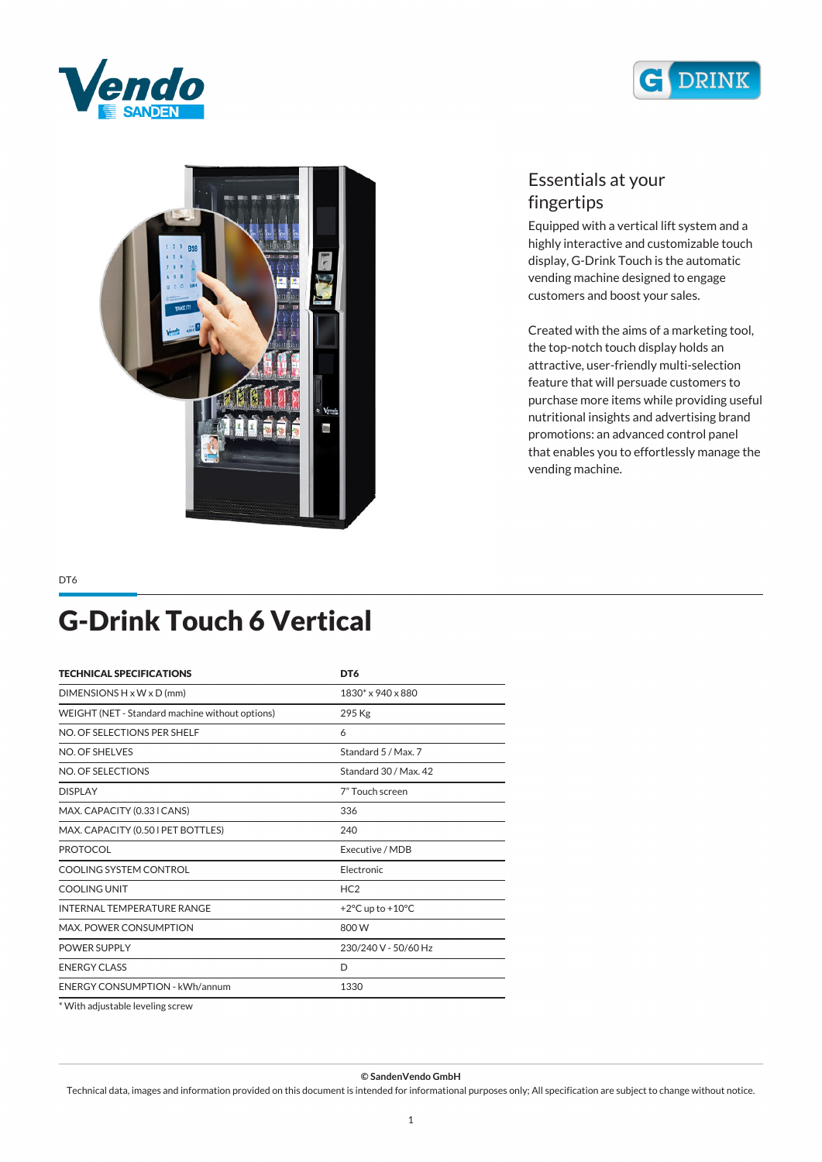





## *Essentials at your fingertips*

*Equipped with a vertical lift system and a highly interactive and customizable touch display, G-Drink Touch is the automatic vending machine designed to engage customers and boost your sales.*

*Created with the aims of a marketing tool, the top-notch touch display holds an attractive, user-friendly multi-selection feature that will persuade customers to purchase more items while providing useful nutritional insights and advertising brand promotions: an advanced control panel that enables you to effortlessly manage the vending machine.*

#### *DT6*

## *G-Drink Touch 6 Vertical*

| <b>TECHNICAL SPECIFICATIONS</b>                 | DT6                                  |
|-------------------------------------------------|--------------------------------------|
| DIMENSIONS $H \times W \times D$ (mm)           | 1830* x 940 x 880                    |
| WEIGHT (NET - Standard machine without options) | 295 Kg                               |
| NO. OF SELECTIONS PER SHELF                     | 6                                    |
| NO. OF SHELVES                                  | Standard 5 / Max. 7                  |
| NO. OF SELECTIONS                               | Standard 30 / Max. 42                |
| <b>DISPLAY</b>                                  | 7" Touch screen                      |
| MAX. CAPACITY (0.33 I CANS)                     | 336                                  |
| MAX. CAPACITY (0.50 I PET BOTTLES)              | 240                                  |
| <b>PROTOCOL</b>                                 | Executive / MDB                      |
| COOLING SYSTEM CONTROL                          | Electronic                           |
| COOLING UNIT                                    | HC2                                  |
| <b>INTERNAL TEMPERATURE RANGE</b>               | +2 $\degree$ C up to +10 $\degree$ C |
| MAX. POWER CONSUMPTION                          | 800 W                                |
| <b>POWER SUPPLY</b>                             | 230/240 V - 50/60 Hz                 |
| <b>ENERGY CLASS</b>                             | D                                    |
| <b>ENERGY CONSUMPTION - kWh/annum</b>           | 1330                                 |

*\* With adjustable leveling screw*

*© SandenVendo GmbH*

*Technical data, images and information provided on this document is intended for informational purposes only; All specification are subject to change without notice.*